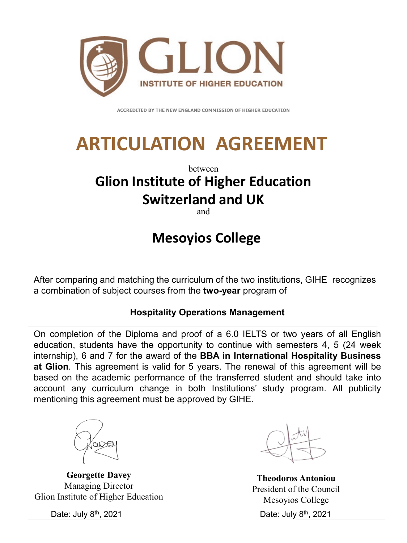

**ACCREDITED BY THE NEW ENGLAND COMMISSION OF HIGHER EDUCATION** 

# **ARTICULATION AGREEMENT**

### between **Glion Institute of Higher Education Switzerland and UK**

and

## **Mesoyios College**

After comparing and matching the curriculum of the two institutions, GIHE recognizes a combination of subject courses from the **two-year** program of

#### **Hospitality Operations Management**

On completion of the Diploma and proof of a 6.0 IELTS or two years of all English education, students have the opportunity to continue with semesters 4, 5 (24 week internship), 6 and 7 for the award of the **BBA in International Hospitality Business at Glion**. This agreement is valid for 5 years. The renewal of this agreement will be based on the academic performance of the transferred student and should take into account any curriculum change in both Institutions' study program. All publicity mentioning this agreement must be approved by GIHE.

**Georgette Davey** Managing Director Glion Institute of Higher Education

Date: July 8th, 2021

Date: July 8th, 2021 **Theodoros Antoniou**  President of the Council Mesoyios College